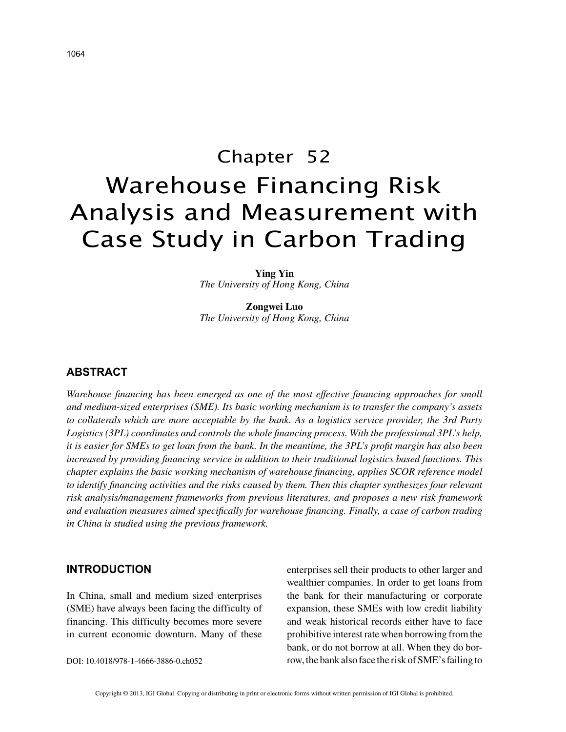# Chapter 52 Warehouse Financing Risk Analysis and Measurement with Case Study in Carbon Trading

**Ying Yin** *The University of Hong Kong, China*

**Zongwei Luo** *The University of Hong Kong, China*

## **ABSTRACT**

*Warehouse financing has been emerged as one of the most effective financing approaches for small and medium-sized enterprises (SME). Its basic working mechanism is to transfer the company's assets to collaterals which are more acceptable by the bank. As a logistics service provider, the 3rd Party Logistics (3PL) coordinates and controls the whole financing process. With the professional 3PL's help, it is easier for SMEs to get loan from the bank. In the meantime, the 3PL's profit margin has also been increased by providing financing service in addition to their traditional logistics based functions. This chapter explains the basic working mechanism of warehouse financing, applies SCOR reference model to identify financing activities and the risks caused by them. Then this chapter synthesizes four relevant risk analysis/management frameworks from previous literatures, and proposes a new risk framework and evaluation measures aimed specifically for warehouse financing. Finally, a case of carbon trading in China is studied using the previous framework.*

## **INTRODUCTION**

In China, small and medium sized enterprises (SME) have always been facing the difficulty of financing. This difficulty becomes more severe in current economic downturn. Many of these

DOI: 10.4018/978-1-4666-3886-0.ch052

enterprises sell their products to other larger and wealthier companies. In order to get loans from the bank for their manufacturing or corporate expansion, these SMEs with low credit liability and weak historical records either have to face prohibitive interest rate when borrowing from the bank, or do not borrow at all. When they do borrow, the bank also face the risk of SME's failing to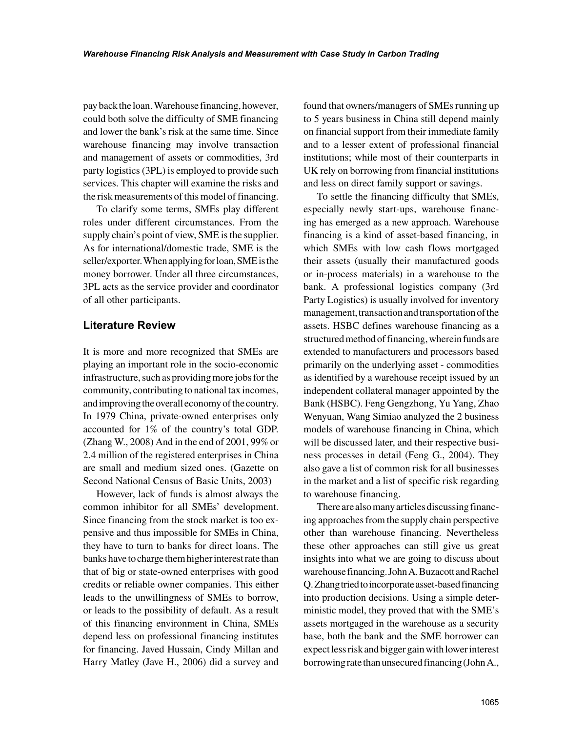pay back the loan. Warehouse financing, however, could both solve the difficulty of SME financing and lower the bank's risk at the same time. Since warehouse financing may involve transaction and management of assets or commodities, 3rd party logistics (3PL) is employed to provide such services. This chapter will examine the risks and the risk measurements of this model of financing.

To clarify some terms, SMEs play different roles under different circumstances. From the supply chain's point of view, SME is the supplier. As for international/domestic trade, SME is the seller/exporter. When applying for loan, SME is the money borrower. Under all three circumstances, 3PL acts as the service provider and coordinator of all other participants.

## **Literature Review**

It is more and more recognized that SMEs are playing an important role in the socio-economic infrastructure, such as providing more jobs for the community, contributing to national tax incomes, and improving the overall economy of the country. In 1979 China, private-owned enterprises only accounted for 1% of the country's total GDP. (Zhang W., 2008) And in the end of 2001, 99% or 2.4 million of the registered enterprises in China are small and medium sized ones. (Gazette on Second National Census of Basic Units, 2003)

However, lack of funds is almost always the common inhibitor for all SMEs' development. Since financing from the stock market is too expensive and thus impossible for SMEs in China, they have to turn to banks for direct loans. The banks have to charge them higher interest rate than that of big or state-owned enterprises with good credits or reliable owner companies. This either leads to the unwillingness of SMEs to borrow, or leads to the possibility of default. As a result of this financing environment in China, SMEs depend less on professional financing institutes for financing. Javed Hussain, Cindy Millan and Harry Matley (Jave H., 2006) did a survey and found that owners/managers of SMEs running up to 5 years business in China still depend mainly on financial support from their immediate family and to a lesser extent of professional financial institutions; while most of their counterparts in UK rely on borrowing from financial institutions and less on direct family support or savings.

To settle the financing difficulty that SMEs, especially newly start-ups, warehouse financing has emerged as a new approach. Warehouse financing is a kind of asset-based financing, in which SMEs with low cash flows mortgaged their assets (usually their manufactured goods or in-process materials) in a warehouse to the bank. A professional logistics company (3rd Party Logistics) is usually involved for inventory management, transaction and transportation of the assets. HSBC defines warehouse financing as a structured method of financing, wherein funds are extended to manufacturers and processors based primarily on the underlying asset - commodities as identified by a warehouse receipt issued by an independent collateral manager appointed by the Bank (HSBC). Feng Gengzhong, Yu Yang, Zhao Wenyuan, Wang Simiao analyzed the 2 business models of warehouse financing in China, which will be discussed later, and their respective business processes in detail (Feng G., 2004). They also gave a list of common risk for all businesses in the market and a list of specific risk regarding to warehouse financing.

There are also many articles discussing financing approaches from the supply chain perspective other than warehouse financing. Nevertheless these other approaches can still give us great insights into what we are going to discuss about warehouse financing. John A. Buzacott and Rachel Q. Zhang tried to incorporate asset-based financing into production decisions. Using a simple deterministic model, they proved that with the SME's assets mortgaged in the warehouse as a security base, both the bank and the SME borrower can expect less risk and bigger gain with lower interest borrowing rate than unsecured financing (John A.,